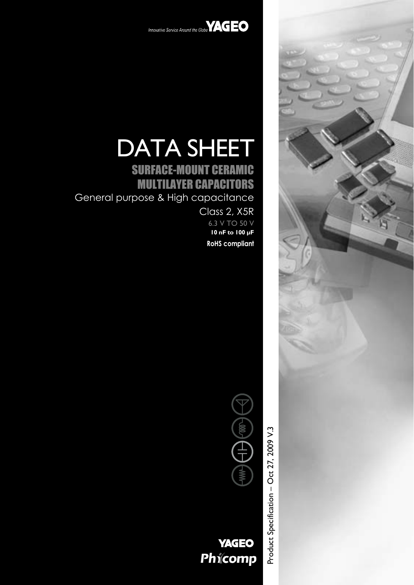



# DATA SHEET

# SURFACE-MOUNT CERAMIC MULTILAYER CAPACITORS General purpose & High capacitance

Class 2, X5R 6.3 V TO 50 V **10 nF to 100 µF RoHS compliant**



**YAGEO** Phicomp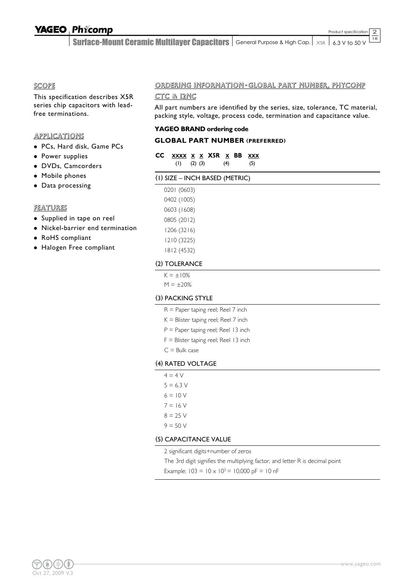2

Surface-Mount Ceramic Multilayer Capacitors  $|$  General Purpose & High Cap.  $|$   $\times$ sr  $|$  6.3 V to 50 V  $\overline{18}$ 

#### SCOPE

This specification describes X5R series chip capacitors with leadfree terminations.

#### **APPLICATIONS**

- PCs, Hard disk, Game PCs
- Power supplies
- · DVDs, Camcorders
- Mobile phones
- Data processing

#### FEATURES

- Supplied in tape on reel
- Nickel-barrier end termination
- RoHS compliant
- Halogen Free compliant

### ORDERING INFORMATION - GLOBAL PART NUMBER, PHYCOMP

#### CTC & 12NC

All part numbers are identified by the series, size, tolerance, TC material, packing style, voltage, process code, termination and capacitance value.

#### **YAGEO BRAND ordering code**

#### **GLOBAL PART NUMBER (PREFERRED)**

| CC XXXX X X X5R X BB XXX |  |     |  |     |
|--------------------------|--|-----|--|-----|
| $(1)$ $(2)$ $(3)$        |  | (4) |  | (5) |

#### (1) SIZE – INCH BASED (METRIC)

| 0201 (0603) |
|-------------|
| 0402 (1005) |
| 0603 (1608) |
| 0805 (2012) |
| 1206 (3216) |
| 1210 (3225) |
| 1812 (4532) |

#### (2) TOLERANCE

 $K = \pm 10\%$ 

 $M = \pm 20%$ 

#### (3) PACKING STYLE

- R = Paper taping reel; Reel 7 inch
- $K =$  Blister taping reel; Reel 7 inch
- P = Paper taping reel; Reel 13 inch
- $F =$  Blister taping reel; Reel 13 inch
- $C =$  Bulk case

#### (4) RATED VOLTAGE

- $4 = 4 V$
- $5 = 6.3 V$
- $6 = 10 V$
- $7 = 16 V$
- $8 = 25$  V
- $9 = 50 V$

#### (5) CAPACITANCE VALUE

2 significant digits+number of zeros

The 3rd digit signifies the multiplying factor, and letter R is decimal point

Example:  $103 = 10 \times 10^3 = 10,000 \text{ pF} = 10 \text{ nF}$ 

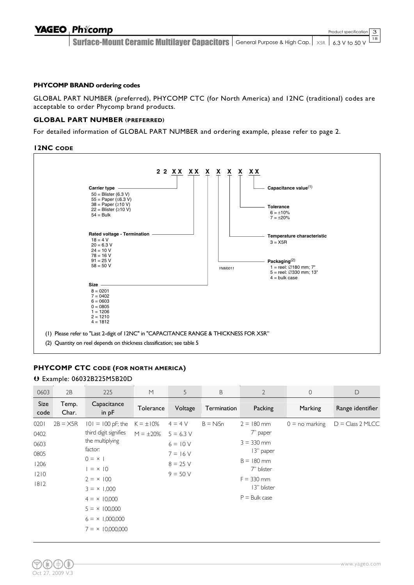Surface-Mount Ceramic Multilayer Capacitors  $|$  General Purpose & High Cap.  $|$   $\times$ sr  $|$  6.3 V to 50 V  $\overline{18}$ 

#### **PHYCOMP BRAND ordering codes**

GLOBAL PART NUMBER (preferred), PHYCOMP CTC (for North America) and 12NC (traditional) codes are acceptable to order Phycomp brand products.

#### **GLOBAL PART NUMBER (PREFERRED)**

For detailed information of GLOBAL PART NUMBER and ordering example, please refer to page 2.

#### **12NC CODE**



#### **PHYCOMP CTC CODE (FOR NORTH AMERICA)**

#### Ä Example: 06032B225M5B20D

| 0603                                                   | 2B             | 225                                                                                                                                                                                                                                                  | M                                | 5                                                                                | B           | $\overline{2}$                                                                                                                        | $\overline{0}$   | $\mathsf{D}$       |
|--------------------------------------------------------|----------------|------------------------------------------------------------------------------------------------------------------------------------------------------------------------------------------------------------------------------------------------------|----------------------------------|----------------------------------------------------------------------------------|-------------|---------------------------------------------------------------------------------------------------------------------------------------|------------------|--------------------|
| Size<br>code                                           | Temp.<br>Char. | Capacitance<br>in $pF$                                                                                                                                                                                                                               | Tolerance                        | Voltage                                                                          | Termination | Packing                                                                                                                               | Marking          | Range identifier   |
| 0201<br>0402<br>0603<br>0805<br>1206<br>1210<br>$1812$ | $2B = X5R$     | $101 = 100$ pF; the<br>third digit signifies<br>the multiplying<br>factor:<br>$0 = x$<br>$= \times 10$<br>$2 = \times 100$<br>$3 = \times 1,000$<br>$4 = \times 10,000$<br>$5 = \times 100,000$<br>$6 = \times 1,000,000$<br>$7 = \times 10,000,000$ | $K = \pm 10\%$<br>$M = \pm 20\%$ | $4 = 4 V$<br>$5 = 6.3 V$<br>$6 = 10 V$<br>$7 = 16 V$<br>$8 = 25 V$<br>$9 = 50 V$ | $B = NiSn$  | $2 = 180$ mm<br>7" paper<br>$3 = 330$ mm<br>13" paper<br>$B = 180$ mm<br>7" blister<br>$F = 330$ mm<br>13" blister<br>$P =$ Bulk case | $0 =$ no marking | $D = Class 2 MLCC$ |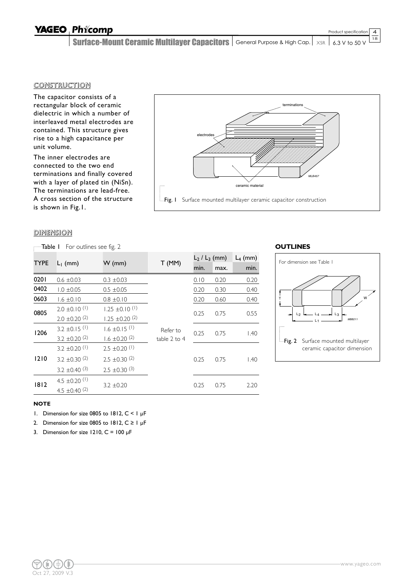Product specification

4

Surface-Mount Ceramic Multilayer Capacitors  $|$  General Purpose & High Cap.  $|$   $\times$ sr  $|$  6.3 V to 50 V  $\overline{18}$ 

#### CONSTRUCTION

The capacitor consists of a rectangular block of ceramic dielectric in which a number of interleaved metal electrodes are contained. This structure gives rise to a high capacitance per unit volume.

The inner electrodes are connected to the two end terminations and finally covered with a layer of plated tin (NiSn). The terminations are lead-free. A cross section of the structure is shown in Fig.1.



| terminations                                                         |  |
|----------------------------------------------------------------------|--|
|                                                                      |  |
| electrodes                                                           |  |
| <b>MLB457</b>                                                        |  |
| ceramic material<br>                                                 |  |
| Surface mounted multilayer ceramic capacitor construction<br>-Fig. I |  |

| For outlines see fig. 2<br>-Table I |                               |                               |              |                    |      |            |  |  |  |
|-------------------------------------|-------------------------------|-------------------------------|--------------|--------------------|------|------------|--|--|--|
|                                     |                               |                               |              | $L_2$ / $L_3$ (mm) |      | $L_4$ (mm) |  |  |  |
| <b>TYPE</b>                         | $L_1$ (mm)                    | $W$ (mm)                      | T(MM)        | min.               | max. | min.       |  |  |  |
| 0201                                | $0.6 \pm 0.03$                | $0.3 \pm 0.03$                |              | 0.10               | 0.20 | 0.20       |  |  |  |
| 0402                                | $1.0 \pm 0.05$                | $0.5 \pm 0.05$                |              | 0.20               | 0.30 | 0.40       |  |  |  |
| 0603                                | $1.6 \pm 0.10$                | $0.8 \pm 0.10$                |              | 0.20               | 0.60 | 0.40       |  |  |  |
| 0805                                | $2.0 \pm 0.10^{(1)}$          | $1.25 \pm 0.10^{(1)}$         |              | 0.25               | 0.75 | 0.55       |  |  |  |
|                                     | $2.0 \pm 0.20$ <sup>(2)</sup> | $1.25 \pm 0.20$ (2)           |              |                    |      |            |  |  |  |
| 1206                                | $3.2 \pm 0.15$ <sup>(1)</sup> | $1.6 \pm 0.15$ <sup>(1)</sup> | Refer to     | 0.25               | 0.75 | 1.40       |  |  |  |
|                                     | 3.2 $\pm$ 0.20 $(2)$          | $1.6 \pm 0.20$ (2)            | table 2 to 4 |                    |      |            |  |  |  |
|                                     | 3.2 $\pm$ 0.20 $(1)$          | $2.5 \pm 0.20$ (1)            |              |                    |      |            |  |  |  |
| 1210                                | 3.2 $\pm$ 0.30 (2)            | $2.5 \pm 0.30^{(2)}$          |              | 0.25               | 0.75 | 1.40       |  |  |  |
|                                     | 3.2 $\pm$ 0.40 <sup>(3)</sup> | $2.5 \pm 0.30^{(3)}$          |              |                    |      |            |  |  |  |
| 1812                                | 4.5 $\pm$ 0.20 <sup>(1)</sup> | $3.2 \pm 0.20$                |              | 0.25               | 0.75 | 2.20       |  |  |  |
|                                     | 4.5 $\pm$ 0.40 <sup>(2)</sup> |                               |              |                    |      |            |  |  |  |

#### **OUTLINES**



#### **NOTE**

1. Dimension for size 0805 to 1812, C < 1 µF

2. Dimension for size 0805 to 1812,  $C \ge 1$  µF

3. Dimension for size 1210,  $C = 100 \mu F$ 

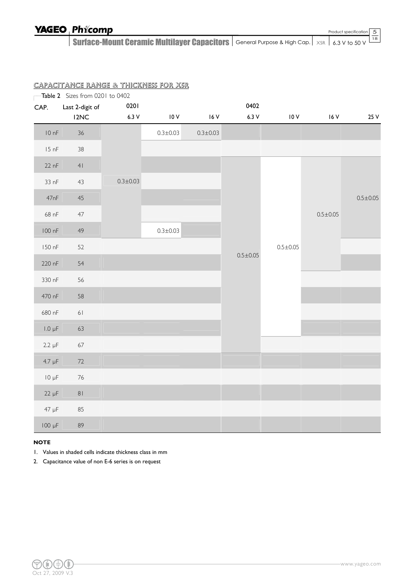Product specification

5

Surface-Mount Ceramic Multilayer Capacitors  $|$  General Purpose & High Cap.  $|$   $\times$ sr  $|$  6.3 V to 50 V 18

|             | Table 2 Sizes from 0201 to 0402 |                |                |                |                |                |                |                |
|-------------|---------------------------------|----------------|----------------|----------------|----------------|----------------|----------------|----------------|
| CAP.        | Last 2-digit of                 | 0201           |                |                | 0402           |                |                |                |
|             | I <sub>2</sub> NC               | $6.3 V$        | $10V$          | 16V            | 6.3V           | 10V            | 16V            | 25 V           |
| 10 nF       | $36\,$                          |                | $0.3 \pm 0.03$ | $0.3 \pm 0.03$ |                |                |                |                |
| 15 nF       | $38\,$                          |                |                |                |                |                |                |                |
| $22$ nF     | 41                              |                |                |                |                |                |                |                |
| 33 nF       | 43                              | $0.3 \pm 0.03$ |                |                |                | $0.5 \pm 0.05$ |                |                |
| 47nF        | $45\,$                          |                |                |                |                |                |                | $0.5 \pm 0.05$ |
| 68 nF       | $47\,$                          |                |                |                |                |                | $0.5 \pm 0.05$ |                |
| 100 nF      | 49                              |                | $0.3 \pm 0.03$ |                |                |                |                |                |
| 150 nF      | 52                              |                |                |                |                |                |                |                |
| 220 nF      | 54                              |                |                |                | $0.5 \pm 0.05$ |                |                |                |
| 330 nF      | 56                              |                |                |                |                |                |                |                |
| 470 nF      | 58                              |                |                |                |                |                |                |                |
| 680 nF      | $61$                            |                |                |                |                |                |                |                |
| $1.0 \mu F$ | 63                              |                |                |                |                |                |                |                |
| $2.2 \mu F$ | 67                              |                |                |                |                |                |                |                |
| $4.7 \mu F$ | $72\,$                          |                |                |                |                |                |                |                |
| $10 \mu F$  | $76\,$                          |                |                |                |                |                |                |                |
| $22 \mu F$  | $8\,$ l                         |                |                |                |                |                |                |                |
| 47 µF       | 85                              |                |                |                |                |                |                |                |
| 100 µF      | 89                              |                |                |                |                |                |                |                |

### CAPACITANCE RANGE & THICKNESS FOR X5R

#### **NOTE**

1. Values in shaded cells indicate thickness class in mm

2. Capacitance value of non E-6 series is on request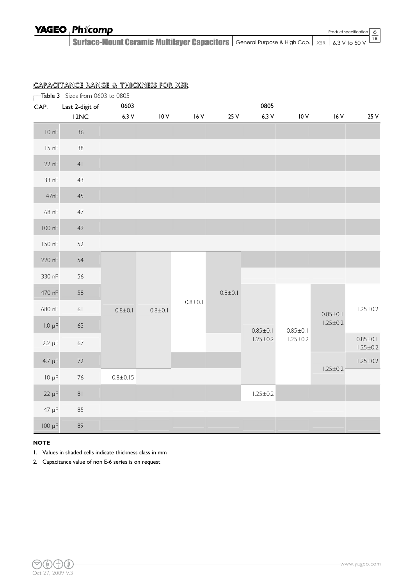Product specification

6

Surface-Mount Ceramic Multilayer Capacitors  $|$  General Purpose & High Cap.  $|$   $\times$ sr  $|$  6.3 V to 50 V 18

|             | Table 3 Sizes from 0603 to 0805 |                |                  |               |             |                |                |                |                |  |  |                |
|-------------|---------------------------------|----------------|------------------|---------------|-------------|----------------|----------------|----------------|----------------|--|--|----------------|
| CAP.        | Last 2-digit of                 | 0603           |                  |               |             | 0805           |                |                |                |  |  |                |
|             | I <sub>2</sub> NC               | $6.3V$         | $10\,\mathrm{V}$ | $16V$         | 25 V        | 6.3V           | 10V            | $16V$          | 25 V           |  |  |                |
| 10 nF       | $36\,$                          |                |                  |               |             |                |                |                |                |  |  |                |
| 15 nF       | 38                              |                |                  |               |             |                |                |                |                |  |  |                |
| 22 nF       | 41                              |                |                  |               |             |                |                |                |                |  |  |                |
| 33 nF       | 43                              |                |                  |               |             |                |                |                |                |  |  |                |
| 47nF        | $45\,$                          |                |                  |               |             |                |                |                |                |  |  |                |
| 68 nF       | $47\,$                          |                |                  |               |             |                |                |                |                |  |  |                |
| 100 nF      | 49                              |                |                  |               |             |                |                |                |                |  |  |                |
| 150 nF      | 52                              |                |                  |               |             |                |                |                |                |  |  |                |
| 220 nF      | 54                              |                |                  |               |             |                |                |                |                |  |  |                |
| 330 nF      | 56                              |                |                  |               |             |                |                |                |                |  |  |                |
| 470 nF      | 58                              |                |                  | $0.8 \pm 0.1$ | $0.8 + 0.1$ |                |                |                |                |  |  |                |
| 680 nF      | 61                              | $0.8 + 0.1$    | $0.8 + 0.1$      |               |             |                |                |                |                |  |  | $0.85 \pm 0.1$ |
| $1.0 \mu F$ | 63                              |                |                  |               |             | $0.85 \pm 0.1$ | $0.85 \pm 0.1$ | $1.25 \pm 0.2$ |                |  |  |                |
| $2.2 \mu F$ | 67                              |                |                  |               |             | $1.25 \pm 0.2$ | $1.25 \pm 0.2$ |                |                |  |  |                |
| $4.7 \mu F$ | $72\,$                          |                |                  |               |             |                |                |                | $1.25 \pm 0.2$ |  |  |                |
| $10 \mu F$  | $76\,$                          | $0.8 \pm 0.15$ |                  |               |             |                |                | $1.25 \pm 0.2$ |                |  |  |                |
| $22 \mu F$  | 81                              |                |                  |               |             | $1.25 \pm 0.2$ |                |                |                |  |  |                |
| $47 \mu F$  | 85                              |                |                  |               |             |                |                |                |                |  |  |                |
| 100 µF      | 89                              |                |                  |               |             |                |                |                |                |  |  |                |

### CAPACITANCE RANGE & THICKNESS FOR X5R

#### **NOTE**

1. Values in shaded cells indicate thickness class in mm

2. Capacitance value of non E-6 series is on request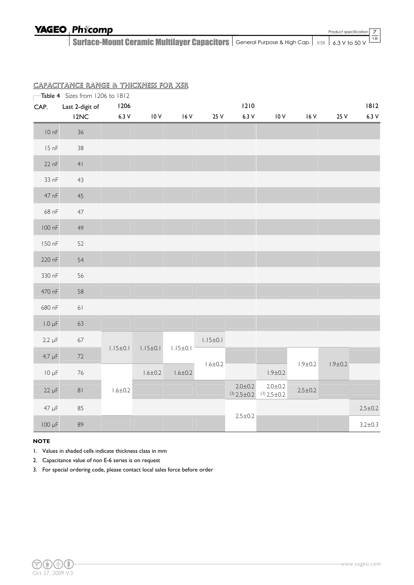7

Surface-Mount Ceramic Multilayer Capacitors  $|$  General Purpose & High Cap.  $|$   $\times$ sr  $|$  6.3 V to 50 V 18

|             | Table 4 Sizes from 1206 to 1812 |                |                |                |                |                                      |                                  |               |               |               |
|-------------|---------------------------------|----------------|----------------|----------------|----------------|--------------------------------------|----------------------------------|---------------|---------------|---------------|
| CAP.        | Last 2-digit of                 | 1206           |                |                |                | 1210                                 |                                  |               |               | 1812          |
|             | 12NC                            | 6.3V           | 10V            | 16 V           | 25 V           | 6.3V                                 | 10V                              | 16V           | 25 V          | $6.3 V$       |
| 10nF        | 36                              |                |                |                |                |                                      |                                  |               |               |               |
| 15 nF       | 38                              |                |                |                |                |                                      |                                  |               |               |               |
| 22 nF       | 4 <sub>l</sub>                  |                |                |                |                |                                      |                                  |               |               |               |
| 33 nF       | 43                              |                |                |                |                |                                      |                                  |               |               |               |
| 47 nF       | $45\,$                          |                |                |                |                |                                      |                                  |               |               |               |
| 68 nF       | 47                              |                |                |                |                |                                      |                                  |               |               |               |
| 100 nF      | 49                              |                |                |                |                |                                      |                                  |               |               |               |
| 150 nF      | 52                              |                |                |                |                |                                      |                                  |               |               |               |
| 220 nF      | 54                              |                |                |                |                |                                      |                                  |               |               |               |
| 330 nF      | 56                              |                |                |                |                |                                      |                                  |               |               |               |
| 470 nF      | 58                              |                |                |                |                |                                      |                                  |               |               |               |
| 680 nF      | 61                              |                |                |                |                |                                      |                                  |               |               |               |
| $1.0 \mu F$ | 63                              |                |                |                |                |                                      |                                  |               |               |               |
| $2.2 \mu F$ | 67                              |                |                |                | $1.15 \pm 0.1$ |                                      |                                  |               |               |               |
| $4.7 \mu F$ | $72\,$                          | $1.15 \pm 0.1$ | $1.15 \pm 0.1$ | $1.15 \pm 0.1$ |                |                                      |                                  |               |               |               |
| $10 \mu F$  | $76\,$                          |                | $1.6 \pm 0.2$  | $1.6 \pm 0.2$  | $1.6 \pm 0.2$  |                                      | $1.9 \pm 0.2$                    | $1.9 + 0.2$   | $1.9 \pm 0.2$ |               |
| $22 \mu F$  | $8\,$ l                         | $1.6 \pm 0.2$  |                |                |                | $2.0 \pm 0.2$<br>$(3)$ 2.5 $\pm$ 0.2 | 2.0 ± 0.2<br>$(3)$ 2.5 $\pm$ 0.2 | $2.5 \pm 0.2$ |               |               |
| 47 µF       | 85                              |                |                |                |                |                                      |                                  |               |               | $2.5 \pm 0.2$ |
| $100 \mu F$ | 89                              |                |                |                |                | $2.5 \pm 0.2$                        |                                  |               |               | $3.2 \pm 0.3$ |

#### CAPACITANCE RANGE & THICKNESS FOR X5R

#### **NOTE**

1. Values in shaded cells indicate thickness class in mm

- 2. Capacitance value of non E-6 series is on request
- 3. For special ordering code, please contact local sales force before order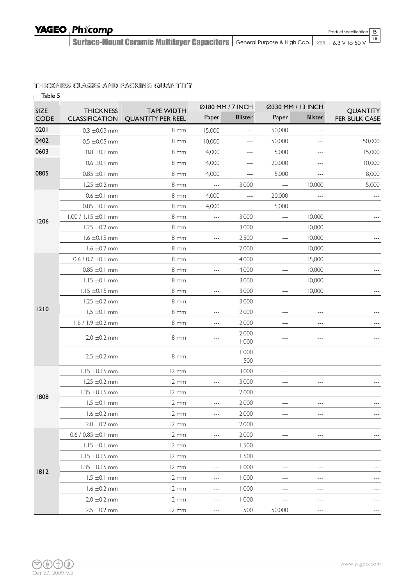8

Surface-Mount Ceramic Multilayer Capacitors  $|$  General Purpose & High Cap.  $|$   $\times$ sr  $|$  6.3 V to 50 V 18

#### THICKNESS CLASSES AND PACKING QUANTITY

| Table 5             |                                           |                                               | Ø180 MM / 7 INCH                                                                                                                                                                                                                                                                                                                                                                             |                                                                                                                                                                                                                                                                                                                                                                                                                                                | Ø330 MM / 13 INCH |                |                                  |
|---------------------|-------------------------------------------|-----------------------------------------------|----------------------------------------------------------------------------------------------------------------------------------------------------------------------------------------------------------------------------------------------------------------------------------------------------------------------------------------------------------------------------------------------|------------------------------------------------------------------------------------------------------------------------------------------------------------------------------------------------------------------------------------------------------------------------------------------------------------------------------------------------------------------------------------------------------------------------------------------------|-------------------|----------------|----------------------------------|
| SIZE<br><b>CODE</b> | <b>THICKNESS</b><br><b>CLASSIFICATION</b> | <b>TAPE WIDTH</b><br><b>QUANTITY PER REEL</b> | Paper                                                                                                                                                                                                                                                                                                                                                                                        | <b>Blister</b>                                                                                                                                                                                                                                                                                                                                                                                                                                 | Paper             | <b>Blister</b> | <b>QUANTITY</b><br>PER BULK CASE |
| 0201                | $0.3 \pm 0.03$ mm                         | 8 mm                                          | 15,000                                                                                                                                                                                                                                                                                                                                                                                       | $\cdots$                                                                                                                                                                                                                                                                                                                                                                                                                                       | 50,000            | $---$          |                                  |
| 0402                | $0.5 \pm 0.05$ mm                         | $8 \text{ mm}$                                | 10,000                                                                                                                                                                                                                                                                                                                                                                                       | $\overline{a}$                                                                                                                                                                                                                                                                                                                                                                                                                                 | 50,000            | <u></u>        | 50,000                           |
| 0603                | $0.8 \pm 0.1$ mm                          | 8 mm                                          | 4,000                                                                                                                                                                                                                                                                                                                                                                                        | $\frac{1}{2} \left( \frac{1}{2} \right) + \frac{1}{2} \left( \frac{1}{2} \right) + \frac{1}{2} \left( \frac{1}{2} \right) + \frac{1}{2} \left( \frac{1}{2} \right) + \frac{1}{2} \left( \frac{1}{2} \right) + \frac{1}{2} \left( \frac{1}{2} \right) + \frac{1}{2} \left( \frac{1}{2} \right) + \frac{1}{2} \left( \frac{1}{2} \right) + \frac{1}{2} \left( \frac{1}{2} \right) + \frac{1}{2} \left( \frac{1}{2} \right) + \frac{1}{2} \left($ | 15,000            | $---$          | 15,000                           |
|                     | $0.6 \pm 0.1$ mm                          | 8 mm                                          | 4,000                                                                                                                                                                                                                                                                                                                                                                                        | $---$                                                                                                                                                                                                                                                                                                                                                                                                                                          | 20,000            | ---            | 10,000                           |
| 0805                | $0.85 \pm 0.1 \text{ mm}$                 | 8 <sub>mm</sub>                               | 4,000                                                                                                                                                                                                                                                                                                                                                                                        | $\sim$ $\sim$ $\sim$                                                                                                                                                                                                                                                                                                                                                                                                                           | 15,000            | $ -$           | 8,000                            |
|                     | 1,25 $\pm$ 0,2 mm                         | 8 mm                                          | $\frac{1}{2} \frac{1}{2} \frac{1}{2} \frac{1}{2} \frac{1}{2} \frac{1}{2} \frac{1}{2} \frac{1}{2} \frac{1}{2} \frac{1}{2} \frac{1}{2} \frac{1}{2} \frac{1}{2} \frac{1}{2} \frac{1}{2} \frac{1}{2} \frac{1}{2} \frac{1}{2} \frac{1}{2} \frac{1}{2} \frac{1}{2} \frac{1}{2} \frac{1}{2} \frac{1}{2} \frac{1}{2} \frac{1}{2} \frac{1}{2} \frac{1}{2} \frac{1}{2} \frac{1}{2} \frac{1}{2} \frac{$ | 3,000                                                                                                                                                                                                                                                                                                                                                                                                                                          | ---               | 10,000         | 5,000                            |
|                     | $0.6 \pm 0.1$ mm                          | 8 <sub>mm</sub>                               | 4,000                                                                                                                                                                                                                                                                                                                                                                                        | $ -$                                                                                                                                                                                                                                                                                                                                                                                                                                           | 20,000            |                |                                  |
|                     | $0.85 \pm 0.1 \text{ mm}$                 | 8 <sub>mm</sub>                               | 4,000                                                                                                                                                                                                                                                                                                                                                                                        | $---$                                                                                                                                                                                                                                                                                                                                                                                                                                          | 15,000            | $---$          |                                  |
|                     | $1.00 / 1.15 \pm 0.1$ mm                  | 8 mm                                          | $\cdots$                                                                                                                                                                                                                                                                                                                                                                                     | 3,000                                                                                                                                                                                                                                                                                                                                                                                                                                          | $---$             | 10,000         |                                  |
| 1206                | $1.25 \pm 0.2 \text{ mm}$                 | 8 <sub>mm</sub>                               | $---$                                                                                                                                                                                                                                                                                                                                                                                        | 3,000                                                                                                                                                                                                                                                                                                                                                                                                                                          | ---               | 10,000         |                                  |
|                     | $1.6 \pm 0.15$ mm                         | 8 mm                                          | $\cdots$                                                                                                                                                                                                                                                                                                                                                                                     | 2,500                                                                                                                                                                                                                                                                                                                                                                                                                                          | ---               | 10,000         |                                  |
|                     | $1.6 \pm 0.2$ mm                          | 8 <sub>mm</sub>                               | $\cdots$                                                                                                                                                                                                                                                                                                                                                                                     | 2,000                                                                                                                                                                                                                                                                                                                                                                                                                                          | $-$               | 10,000         | $\sim$ $\sim$ $\sim$             |
|                     | $0.6 / 0.7 \pm 0.1$ mm                    | 8 mm                                          | $ -$                                                                                                                                                                                                                                                                                                                                                                                         | 4,000                                                                                                                                                                                                                                                                                                                                                                                                                                          | ---               | 15,000         | $-$                              |
|                     | $0.85 \pm 0.1 \text{ mm}$                 | 8 <sub>mm</sub>                               | $\cdots$                                                                                                                                                                                                                                                                                                                                                                                     | 4,000                                                                                                                                                                                                                                                                                                                                                                                                                                          | ---               | 10,000         |                                  |
|                     | $1.15 \pm 0.1$ mm                         | 8 <sub>mm</sub>                               | $---$                                                                                                                                                                                                                                                                                                                                                                                        | 3,000                                                                                                                                                                                                                                                                                                                                                                                                                                          | ---               | 10,000         | $---$                            |
|                     | $1.15 \pm 0.15$ mm                        | 8 <sub>mm</sub>                               | $\qquad \qquad -$                                                                                                                                                                                                                                                                                                                                                                            | 3,000                                                                                                                                                                                                                                                                                                                                                                                                                                          | $---$             | 10,000         | $\qquad \qquad -$                |
|                     | 1.25 $\pm$ 0.2 mm                         | 8 <sub>mm</sub>                               | $---$                                                                                                                                                                                                                                                                                                                                                                                        | 3,000                                                                                                                                                                                                                                                                                                                                                                                                                                          | ---               | $\overline{a}$ | $---$                            |
| 1210                | $1.5 \pm 0.1$ mm                          | 8 mm                                          | ---                                                                                                                                                                                                                                                                                                                                                                                          | 2,000                                                                                                                                                                                                                                                                                                                                                                                                                                          |                   |                |                                  |
|                     | $1.6 / 1.9 \pm 0.2$ mm                    | 8 mm                                          | $ -$                                                                                                                                                                                                                                                                                                                                                                                         | 2,000                                                                                                                                                                                                                                                                                                                                                                                                                                          | ---               | ---            |                                  |
|                     | $2.0 \pm 0.2$ mm                          | 8 mm                                          | $ -$                                                                                                                                                                                                                                                                                                                                                                                         | 2,000<br>1,000                                                                                                                                                                                                                                                                                                                                                                                                                                 | ---               | ---            |                                  |
|                     | $2.5 \pm 0.2 \text{ mm}$                  | 8 mm                                          | ---                                                                                                                                                                                                                                                                                                                                                                                          | 1,000<br>500                                                                                                                                                                                                                                                                                                                                                                                                                                   | ---               | ---            |                                  |
|                     | $1.15 \pm 0.15$ mm                        | 12 mm                                         | $ -$                                                                                                                                                                                                                                                                                                                                                                                         | 3,000                                                                                                                                                                                                                                                                                                                                                                                                                                          | ---               | $---$          |                                  |
|                     | $1.25 \pm 0.2 \text{ mm}$                 | 12 mm                                         | $---$                                                                                                                                                                                                                                                                                                                                                                                        | 3,000                                                                                                                                                                                                                                                                                                                                                                                                                                          | ---               | $---$          |                                  |
| 1808                | $1.35 \pm 0.15$ mm                        | 12 mm                                         | $ -$                                                                                                                                                                                                                                                                                                                                                                                         | 2,000                                                                                                                                                                                                                                                                                                                                                                                                                                          | ---               |                |                                  |
|                     | $1.5 \pm 0.1$ mm                          | $12 \, \text{mm}$                             | ---                                                                                                                                                                                                                                                                                                                                                                                          | 2,000                                                                                                                                                                                                                                                                                                                                                                                                                                          | ---               | ---            |                                  |
|                     | $1.6 \pm 0.2 \text{ mm}$                  | 12 mm                                         | ---                                                                                                                                                                                                                                                                                                                                                                                          | 2,000                                                                                                                                                                                                                                                                                                                                                                                                                                          | ---               | ---            | $---$                            |
|                     | $2.0 \pm 0.2$ mm                          | $12 \, \text{mm}$                             | $\qquad \qquad - -$                                                                                                                                                                                                                                                                                                                                                                          | 2,000                                                                                                                                                                                                                                                                                                                                                                                                                                          | ---               | $---$          | $---$                            |
|                     | $0.6 / 0.85 \pm 0.1$ mm                   | $12 \, \text{mm}$                             | ---                                                                                                                                                                                                                                                                                                                                                                                          | 2,000                                                                                                                                                                                                                                                                                                                                                                                                                                          | ---               | $---$          |                                  |
|                     | $1.15 \pm 0.1$ mm                         | $12 \, \text{mm}$                             | $---$                                                                                                                                                                                                                                                                                                                                                                                        | 1,500                                                                                                                                                                                                                                                                                                                                                                                                                                          | ---               | $---$          | $---$                            |
|                     | $1.15 \pm 0.15$ mm                        | 12 mm                                         | $---$                                                                                                                                                                                                                                                                                                                                                                                        | 1,500                                                                                                                                                                                                                                                                                                                                                                                                                                          | $---$             | $---$          | $\qquad \qquad -$                |
| 1812                | $1.35 \pm 0.15$ mm                        | 12 mm                                         | ---                                                                                                                                                                                                                                                                                                                                                                                          | 1,000                                                                                                                                                                                                                                                                                                                                                                                                                                          | ---               | ---            |                                  |
|                     | $1.5 \pm 0.1$ mm                          | $12 \, \text{mm}$                             | ---                                                                                                                                                                                                                                                                                                                                                                                          | 1,000                                                                                                                                                                                                                                                                                                                                                                                                                                          | ---               | ---            | $---$                            |
|                     | $1.6 \pm 0.2 \text{ mm}$                  | 12 mm                                         | $---$                                                                                                                                                                                                                                                                                                                                                                                        | 1,000                                                                                                                                                                                                                                                                                                                                                                                                                                          | ---               | $---$          | $---$                            |
|                     | $2.0 \pm 0.2$ mm                          | $12 \, \text{mm}$                             | $---$                                                                                                                                                                                                                                                                                                                                                                                        | 1,000                                                                                                                                                                                                                                                                                                                                                                                                                                          | ---               | $---$          |                                  |
|                     | $2.5 \pm 0.2 \text{ mm}$                  | 12 mm                                         | ---                                                                                                                                                                                                                                                                                                                                                                                          | 500                                                                                                                                                                                                                                                                                                                                                                                                                                            | 50,000            | ---            |                                  |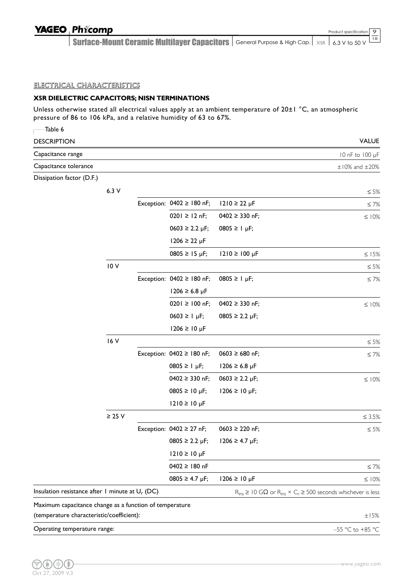Surface-Mount Ceramic Multilayer Capacitors  $|$  General Purpose & High Cap.  $|$   $\times$ sr  $|$  6.3 V to 50 V 18

### ELECTRICAL CHARACTERISTICS

### **X5R DIELECTRIC CAPACITORS; NISN TERMINATIONS**

Unless otherwise stated all electrical values apply at an ambient temperature of 20±1 °C, an atmospheric pressure of 86 to 106 kPa, and a relative humidity of 63 to 67%.

| Table 6                                                 |             |                                      |                                      |                                                                                         |
|---------------------------------------------------------|-------------|--------------------------------------|--------------------------------------|-----------------------------------------------------------------------------------------|
| <b>DESCRIPTION</b>                                      |             |                                      |                                      | <b>VALUE</b>                                                                            |
| Capacitance range                                       |             |                                      |                                      | 10 nF to 100 µF                                                                         |
| Capacitance tolerance                                   |             |                                      |                                      | $\pm$ 10% and $\pm$ 20%                                                                 |
| Dissipation factor (D.F.)                               |             |                                      |                                      |                                                                                         |
|                                                         | 6.3V        |                                      |                                      | $\leq 5\%$                                                                              |
|                                                         |             | Exception: $0402 \ge 180$ nF;        | $1210 \ge 22 \mu F$                  | $≤ 7%$                                                                                  |
|                                                         |             | $0201 \ge 12$ nF;                    | $0402 \geq 330$ nF;                  | $\leq 10\%$                                                                             |
|                                                         |             | $0603 \ge 2.2 \mu F$ ;               | $0805 \ge 1 \mu F$ ;                 |                                                                                         |
|                                                         |             | $1206 \ge 22 \mu F$                  |                                      |                                                                                         |
|                                                         |             | $0805 \ge 15 \text{ µF}$ ;           | $1210 \ge 100 \mu F$                 | $\leq$ 15%                                                                              |
|                                                         | 10V         |                                      |                                      | $\leq 5\%$                                                                              |
|                                                         |             | Exception: $0402 \ge 180$ nF;        | $0805 \ge 1 \mu F$ ;                 | $\leq 7\%$                                                                              |
|                                                         |             | $1206 \ge 6.8 \,\mu\text{F}$         |                                      |                                                                                         |
|                                                         |             | $0201 \ge 100$ nF;                   | $0402 \geq 330$ nF;                  | $\leq$ 10%                                                                              |
|                                                         |             | $0603 \ge 1 \text{ µF}$ ;            | $0805 \ge 2.2 \text{ }\mu\text{F}$ ; |                                                                                         |
|                                                         |             | $1206 \ge 10 \,\mu F$                |                                      |                                                                                         |
|                                                         | 16 V        |                                      |                                      | $\leq 5\%$                                                                              |
|                                                         |             | Exception: $0402 \ge 180$ nF;        | $0603 \ge 680$ nF;                   | $\leq 7\%$                                                                              |
|                                                         |             | $0805 ≥ 1 \mu F;$                    | 1206 ≥ 6.8 µF                        |                                                                                         |
|                                                         |             | $0402 \geq 330$ nF;                  | $0603 \ge 2.2 \mu F$ ;               | $\leq$ 10%                                                                              |
|                                                         |             | $0805 ≥ 10 \mu F;$                   | 1206 ≥ 10 µF;                        |                                                                                         |
|                                                         |             | $1210 ≥ 10 \mu F$                    |                                      |                                                                                         |
|                                                         | $\geq$ 25 V |                                      |                                      | $\leq 3.5\%$                                                                            |
|                                                         |             | Exception: $0402 \ge 27$ nF;         | $0603 \ge 220$ nF;                   | $\leq 5\%$                                                                              |
|                                                         |             | $0805 \ge 2.2 \text{ }\mu\text{F}$ ; | $1206 \ge 4.7 \text{ }\mu\text{F}$ ; |                                                                                         |
|                                                         |             | $1210 \ge 10 \mu F$                  |                                      |                                                                                         |
|                                                         |             | $0402 \ge 180$ nF                    |                                      | $\leq 7\%$                                                                              |
|                                                         |             | $0805 ≥ 4.7 \mu F;$                  | $1206 \ge 10 \,\mu F$                | $\leq$ 10%                                                                              |
| Insulation resistance after 1 minute at $U_r$ (DC)      |             |                                      |                                      | $R_{ins} \geq 10$ G $\Omega$ or $R_{ins} \times C_r \geq 500$ seconds whichever is less |
| Maximum capacitance change as a function of temperature |             |                                      |                                      |                                                                                         |
| (temperature characteristic/coefficient):               |             |                                      |                                      | ±15%                                                                                    |
| Operating temperature range:                            |             |                                      |                                      | $-55$ °C to +85 °C                                                                      |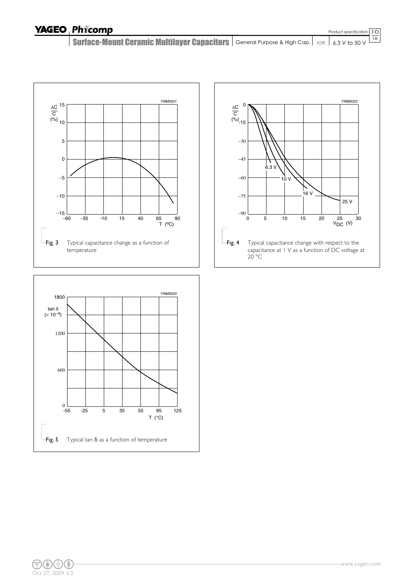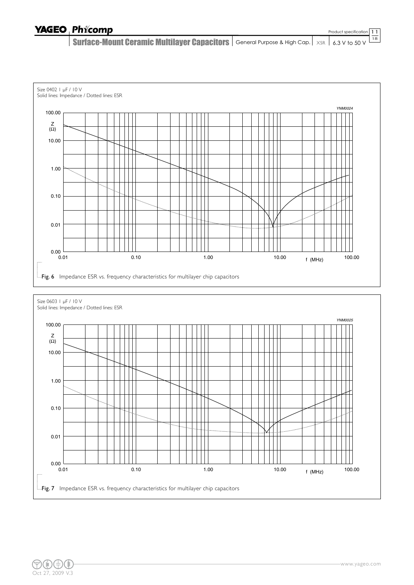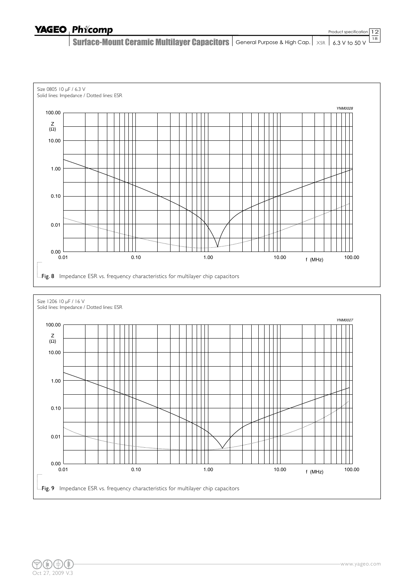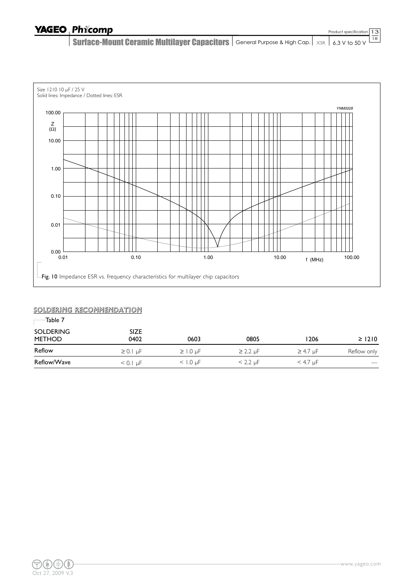Surface-Mount Ceramic Multilayer Capacitors  $|$  General Purpose & High Cap.  $|$   $\times$ sr  $|$  6.3 V to 50 V 18



#### SOLDERING RECOMMENDATION

| <b>SIZE</b><br>0402 | 0603          | 0805            | 1206            | $\geq$ 1210 |  |
|---------------------|---------------|-----------------|-----------------|-------------|--|
| $\geq 0.1$ uF       | $\geq$ 1.0 uF | $\geq$ 2.2 µF   | $\geq$ 4.7 µF   | Reflow only |  |
| $< 0.1 \mu F$       | $<$ 1.0 uF    | $<$ 2.2 $\mu$ F | $<$ 4.7 $\mu$ F | $- - -$     |  |
|                     |               |                 |                 |             |  |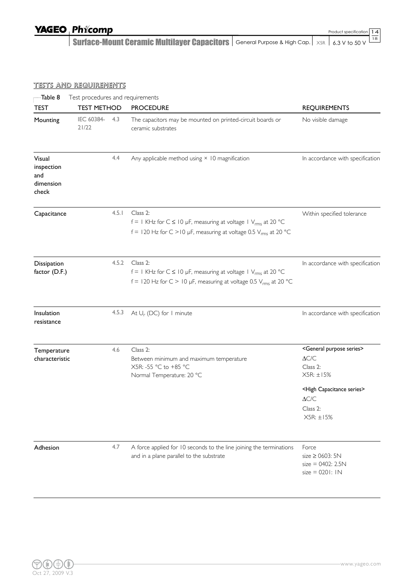Surface-Mount Ceramic Multilayer Capacitors  $|$  General Purpose & High Cap.  $|$   $\times$ sr  $|$  6.3 V to 50 V

#### TESTS AND REQUIREMENTS

| Table 8                                           | Test procedures and requirements |       |                                                                                                                                                                    |                                                                                                                                                                                                                                            |  |  |  |  |  |  |
|---------------------------------------------------|----------------------------------|-------|--------------------------------------------------------------------------------------------------------------------------------------------------------------------|--------------------------------------------------------------------------------------------------------------------------------------------------------------------------------------------------------------------------------------------|--|--|--|--|--|--|
| <b>TEST</b>                                       | <b>TEST METHOD</b>               |       | <b>PROCEDURE</b>                                                                                                                                                   | <b>REQUIREMENTS</b>                                                                                                                                                                                                                        |  |  |  |  |  |  |
| Mounting                                          | IEC 60384-<br>4.3<br>21/22       |       | The capacitors may be mounted on printed-circuit boards or<br>ceramic substrates                                                                                   | No visible damage                                                                                                                                                                                                                          |  |  |  |  |  |  |
| Visual<br>inspection<br>and<br>dimension<br>check |                                  | 4.4   | Any applicable method using $\times$ 10 magnification                                                                                                              | In accordance with specification                                                                                                                                                                                                           |  |  |  |  |  |  |
| Capacitance                                       |                                  | 4.5.1 | Class 2:<br>f = 1 KHz for $C \le 10$ µF, measuring at voltage 1 $V_{rms}$ at 20 °C<br>f = 120 Hz for C > 10 µF, measuring at voltage 0.5 $V_{rms}$ at 20 °C        | Within specified tolerance                                                                                                                                                                                                                 |  |  |  |  |  |  |
| Dissipation<br>factor (D.F.)                      |                                  | 4.5.2 | Class 2:<br>f = 1 KHz for $C \le 10$ µF, measuring at voltage 1 V <sub>rms</sub> at 20 °C<br>f = 120 Hz for C > 10 µF, measuring at voltage 0.5 $V_{rms}$ at 20 °C | In accordance with specification                                                                                                                                                                                                           |  |  |  |  |  |  |
| Insulation<br>resistance                          |                                  | 4.5.3 | At $U_r$ (DC) for 1 minute                                                                                                                                         | In accordance with specification                                                                                                                                                                                                           |  |  |  |  |  |  |
| Temperature<br>characteristic                     |                                  | 4.6   | Class 2:<br>Between minimum and maximum temperature<br>X5R: -55 °C to +85 °C<br>Normal Temperature: 20 °C                                                          | <general purpose="" series=""><br/><math display="inline">\Delta{\text{C/C}}</math><br/>Class 2:<br/><math>X5R: \pm 15%</math><br/><high capacitance="" series=""><br/><math>\Delta C/C</math><br/>Class 2:<br/>X5R: ±15%</high></general> |  |  |  |  |  |  |
| Adhesion                                          |                                  | 4.7   | A force applied for 10 seconds to the line joining the terminations<br>and in a plane parallel to the substrate                                                    | Force<br>size $\geq$ 0603: 5N<br>$size = 0402: 2.5N$<br>$size = 0201:1N$                                                                                                                                                                   |  |  |  |  |  |  |

14 18

Product specification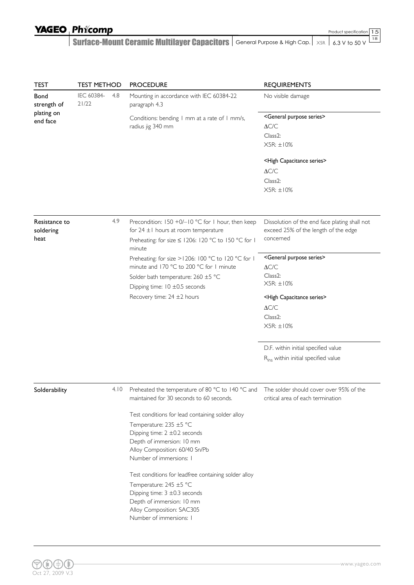| <b>TEST</b><br><b>Bond</b><br>strength of<br>plating on<br>end face | <b>TEST METHOD</b>  |      | <b>PROCEDURE</b>                                                                                                                                                                                                                                                                                                                                                                                                                                                                                                                                              | <b>REQUIREMENTS</b>                                                                                                                                                                                                                                                                 |  |
|---------------------------------------------------------------------|---------------------|------|---------------------------------------------------------------------------------------------------------------------------------------------------------------------------------------------------------------------------------------------------------------------------------------------------------------------------------------------------------------------------------------------------------------------------------------------------------------------------------------------------------------------------------------------------------------|-------------------------------------------------------------------------------------------------------------------------------------------------------------------------------------------------------------------------------------------------------------------------------------|--|
|                                                                     | IEC 60384-<br>21/22 | 4.8  | Mounting in accordance with IEC 60384-22<br>paragraph 4.3                                                                                                                                                                                                                                                                                                                                                                                                                                                                                                     | No visible damage                                                                                                                                                                                                                                                                   |  |
|                                                                     |                     |      | Conditions: bending I mm at a rate of I mm/s,<br>radius jig 340 mm                                                                                                                                                                                                                                                                                                                                                                                                                                                                                            | <general purpose="" series=""><br/><math display="inline">\Delta{\text{C/C}}</math><br/>Class2:<br/><math>X5R: \pm 10\%</math></general>                                                                                                                                            |  |
|                                                                     |                     |      |                                                                                                                                                                                                                                                                                                                                                                                                                                                                                                                                                               | <high capacitance="" series=""><br/><math display="inline">\Delta{\text{C/C}}</math><br/>Class2:<br/>X5R: ±10%</high>                                                                                                                                                               |  |
| Resistance to<br>soldering<br>heat                                  |                     | 4.9  | Precondition: 150 +0/-10 °C for 1 hour, then keep<br>for $24 \pm 1$ hours at room temperature<br>Preheating: for size ≤ 1206: 120 °C to 150 °C for 1<br>minute                                                                                                                                                                                                                                                                                                                                                                                                | Dissolution of the end face plating shall not<br>exceed 25% of the length of the edge<br>concerned                                                                                                                                                                                  |  |
|                                                                     |                     |      | Preheating: for size >1206: 100 °C to 120 °C for 1<br>minute and 170 °C to 200 °C for 1 minute<br>Solder bath temperature: 260 ±5 °C<br>Dipping time: $10 \pm 0.5$ seconds<br>Recovery time: 24 ±2 hours                                                                                                                                                                                                                                                                                                                                                      | <general purpose="" series=""><br/><math display="inline">\Delta{\text{C/C}}</math><br/>Class2:<br/><math>X5R: \pm 10\%</math><br/><high capacitance="" series=""><br/><math display="inline">\Delta{\text{C/C}}</math><br/>Class2:<br/><math>X5R: \pm 10\%</math></high></general> |  |
|                                                                     |                     |      |                                                                                                                                                                                                                                                                                                                                                                                                                                                                                                                                                               | D.F. within initial specified value<br>R <sub>ins</sub> within initial specified value                                                                                                                                                                                              |  |
| Solderability                                                       |                     | 4.10 | Preheated the temperature of 80 °C to 140 °C and The solder should cover over 95% of the<br>maintained for 30 seconds to 60 seconds.<br>Test conditions for lead containing solder alloy<br>Temperature: 235 ±5 °C<br>Dipping time: $2 \pm 0.2$ seconds<br>Depth of immersion: 10 mm<br>Alloy Composition: 60/40 Sn/Pb<br>Number of immersions: I<br>Test conditions for leadfree containing solder alloy<br>Temperature: 245 ±5 °C<br>Dipping time: $3 \pm 0.3$ seconds<br>Depth of immersion: 10 mm<br>Alloy Composition: SAC305<br>Number of immersions: I | critical area of each termination                                                                                                                                                                                                                                                   |  |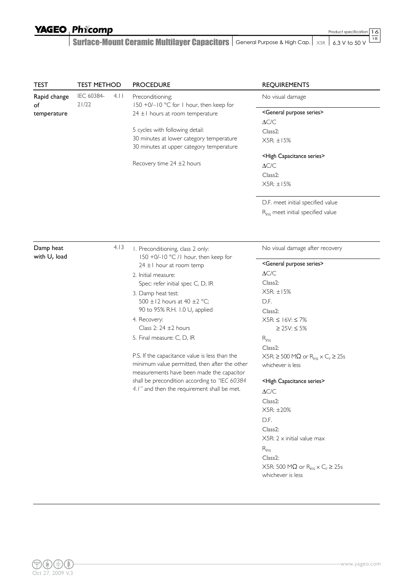Surface-Mount Ceramic Multilayer Capacitors  $|$  General Purpose & High Cap.  $|$   $\times$ sr  $|$  6.3 V to 50 V Product specification

16 18

| <b>TEST</b><br>Rapid change<br>of<br>temperature | <b>TEST METHOD</b>  |                                               | <b>PROCEDURE</b>                                                                                                        | <b>REQUIREMENTS</b>                                                        |
|--------------------------------------------------|---------------------|-----------------------------------------------|-------------------------------------------------------------------------------------------------------------------------|----------------------------------------------------------------------------|
|                                                  | IEC 60384-<br>21/22 | 4.11                                          | Preconditioning;<br>150 +0/-10 °C for 1 hour, then keep for                                                             | No visual damage                                                           |
|                                                  |                     |                                               | $24 \pm 1$ hours at room temperature                                                                                    | <general purpose="" series=""></general>                                   |
|                                                  |                     |                                               |                                                                                                                         | $\Delta{\text{C/C}}$                                                       |
|                                                  |                     |                                               | 5 cycles with following detail:<br>30 minutes at lower category temperature<br>30 minutes at upper category temperature | Class <sub>2</sub> :                                                       |
|                                                  |                     |                                               |                                                                                                                         | X5R: ±15%                                                                  |
|                                                  |                     |                                               |                                                                                                                         | <high capacitance="" series=""></high>                                     |
|                                                  |                     |                                               | Recovery time $24 \pm 2$ hours                                                                                          | $\Delta{\text{C/C}}$                                                       |
|                                                  |                     |                                               |                                                                                                                         | Class <sub>2</sub> :                                                       |
|                                                  |                     |                                               |                                                                                                                         | X5R: ±15%                                                                  |
|                                                  |                     |                                               |                                                                                                                         |                                                                            |
|                                                  |                     |                                               |                                                                                                                         | D.F. meet initial specified value                                          |
|                                                  |                     |                                               |                                                                                                                         | R <sub>ins</sub> meet initial specified value                              |
|                                                  |                     |                                               |                                                                                                                         |                                                                            |
| Damp heat                                        |                     | 4.13                                          | I. Preconditioning, class 2 only:                                                                                       | No visual damage after recovery                                            |
| with $U_r$ load                                  |                     |                                               | 150 +0/-10 °C /1 hour, then keep for<br>$24 \pm 1$ hour at room temp                                                    | <general purpose="" series=""></general>                                   |
|                                                  |                     |                                               | 2. Initial measure:                                                                                                     | $\Delta{\text{C/C}}$                                                       |
|                                                  |                     |                                               | Spec: refer initial spec C, D, IR                                                                                       | Class <sub>2</sub> :                                                       |
|                                                  |                     |                                               | 3. Damp heat test:                                                                                                      | X5R: ±15%                                                                  |
|                                                  |                     |                                               | 500 ±12 hours at 40 ±2 °C;                                                                                              | D.F.                                                                       |
|                                                  |                     | 90 to 95% R.H. 1.0 U <sub>r</sub> applied     | Class <sub>2</sub> :                                                                                                    |                                                                            |
|                                                  |                     |                                               | 4. Recovery:                                                                                                            | $X5R: \leq 16V: \leq 7\%$                                                  |
|                                                  |                     |                                               | Class 2: $24 \pm 2$ hours                                                                                               | ≥ 25V: ≤ 5%                                                                |
|                                                  |                     |                                               | 5. Final measure: C, D, IR                                                                                              | $R_{ins}$                                                                  |
|                                                  |                     |                                               |                                                                                                                         | Class2:                                                                    |
|                                                  |                     |                                               | P.S. If the capacitance value is less than the                                                                          | $X5R: \geq 500 M\Omega$ or $R_{ins} \times C_r \geq 25s$                   |
|                                                  |                     |                                               | minimum value permitted, then after the other                                                                           | whichever is less                                                          |
|                                                  |                     |                                               | measurements have been made the capacitor                                                                               |                                                                            |
|                                                  |                     | shall be precondition according to "IEC 60384 | <high capacitance="" series=""></high>                                                                                  |                                                                            |
|                                                  |                     |                                               | 4.1" and then the requirement shall be met.                                                                             | $\Delta C/C$                                                               |
|                                                  |                     |                                               |                                                                                                                         | Class2:                                                                    |
|                                                  |                     |                                               |                                                                                                                         | X5R: ±20%                                                                  |
|                                                  |                     |                                               |                                                                                                                         | D.F.                                                                       |
|                                                  |                     |                                               |                                                                                                                         | Class <sub>2</sub> :                                                       |
|                                                  |                     |                                               |                                                                                                                         | $X5R: 2 \times \text{initial value max}$                                   |
|                                                  |                     |                                               |                                                                                                                         | $R_{ins}$                                                                  |
|                                                  |                     |                                               |                                                                                                                         | Class2:                                                                    |
|                                                  |                     |                                               |                                                                                                                         | X5R: 500 M $\Omega$ or R <sub>ins</sub> $\times$ C <sub>r</sub> $\geq$ 25s |
|                                                  |                     |                                               |                                                                                                                         | whichever is less                                                          |
|                                                  |                     |                                               |                                                                                                                         |                                                                            |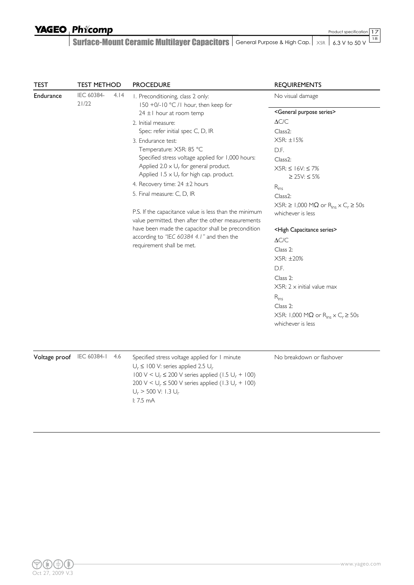17 Product specification

| <b>TEST</b>               | <b>TEST METHOD</b>  |      | <b>PROCEDURE</b>                                                                                                                                                                                                                                                                                                                                               | <b>REQUIREMENTS</b>                                                                                                                                                                                                                                                                                                                                                                                                                                                                                                                                                                                                                                                                                                                         |
|---------------------------|---------------------|------|----------------------------------------------------------------------------------------------------------------------------------------------------------------------------------------------------------------------------------------------------------------------------------------------------------------------------------------------------------------|---------------------------------------------------------------------------------------------------------------------------------------------------------------------------------------------------------------------------------------------------------------------------------------------------------------------------------------------------------------------------------------------------------------------------------------------------------------------------------------------------------------------------------------------------------------------------------------------------------------------------------------------------------------------------------------------------------------------------------------------|
| Endurance                 | IEC 60384-<br>21/22 | 4.14 | I. Preconditioning, class 2 only:<br>150 +0/-10 °C /1 hour, then keep for<br>$24 \pm 1$ hour at room temp<br>2. Initial measure:<br>Spec: refer initial spec C, D, IR<br>3. Endurance test:<br>Temperature: X5R: 85 °C<br>Specified stress voltage applied for 1,000 hours:<br>Applied 2.0 $\times$ U <sub>r</sub> for general product.                        | No visual damage<br><general purpose="" series=""><br/><math>\Delta C/C</math><br/>Class<sub>2</sub>:<br/>X5R: ±15%<br/>D.F.<br/>Class<sub>2</sub>:<br/><math>X5R: \leq 16V: \leq 7%</math><br/>≥ 25V: ≤ 5%<br/><math>R_{ins}</math><br/>Class<sub>2</sub>:<br/><math>X5R: \geq 1,000 M\Omega</math> or <math>R_{ins} \times C_r \geq 50s</math><br/>whichever is less<br/><high capacitance="" series=""><br/><math>\Delta C/C</math><br/>Class 2:<br/>X5R: ±20%<br/>D.F.<br/>Class 2:<br/><math>X5R: 2 \times \text{initial value max}</math><br/><math>R_{ins}</math><br/>Class 2:<br/>X5R: 1,000 M<math>\Omega</math> or R<sub>ins</sub> <math>\times</math> C<sub>r</sub> <math>\geq</math> 50s<br/>whichever is less</high></general> |
|                           |                     |      | Applied $1.5 \times U_r$ for high cap. product.<br>4. Recovery time: 24 ±2 hours<br>5. Final measure: C, D, IR<br>P.S. If the capacitance value is less than the minimum<br>value permitted, then after the other measurements<br>have been made the capacitor shall be precondition<br>according to "IEC 60384 4.1" and then the<br>requirement shall be met. |                                                                                                                                                                                                                                                                                                                                                                                                                                                                                                                                                                                                                                                                                                                                             |
| Voltage proof IEC 60384-1 |                     | 4.6  | Specified stress voltage applied for 1 minute<br>$U_r \leq 100$ V: series applied 2.5 $U_r$<br>$100 \text{ V} < U_r \le 200 \text{ V}$ series applied (1.5 $U_r$ + 100)<br>200 V < $U_r \le 500$ V series applied (1.3 $U_r$ + 100)<br>$U_r$ > 500 V: 1.3 $U_r$<br>1:7.5mA                                                                                     | No breakdown or flashover                                                                                                                                                                                                                                                                                                                                                                                                                                                                                                                                                                                                                                                                                                                   |